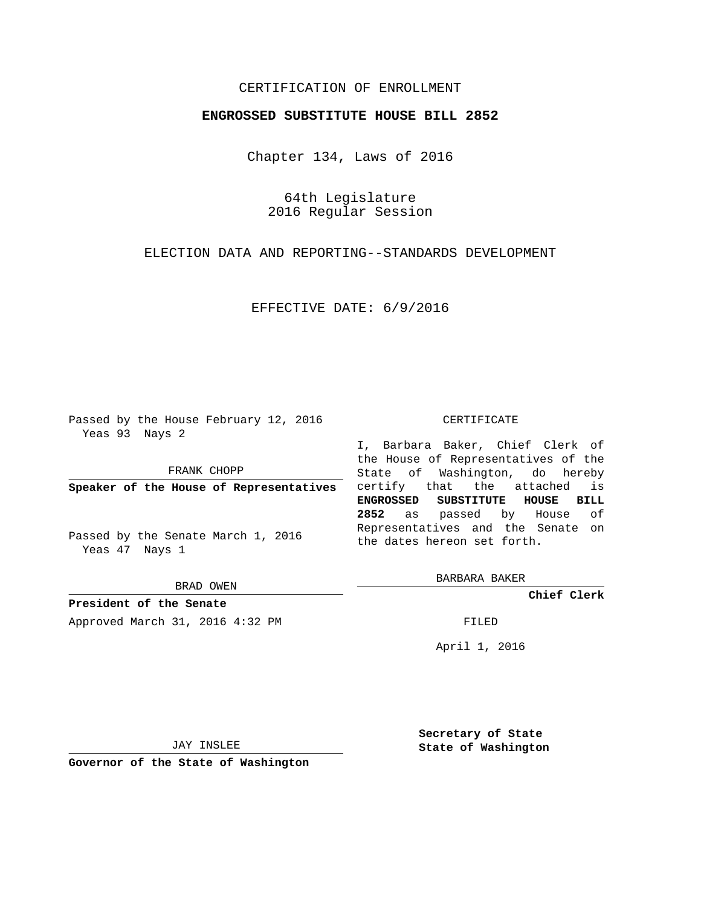## CERTIFICATION OF ENROLLMENT

## **ENGROSSED SUBSTITUTE HOUSE BILL 2852**

Chapter 134, Laws of 2016

64th Legislature 2016 Regular Session

ELECTION DATA AND REPORTING--STANDARDS DEVELOPMENT

EFFECTIVE DATE: 6/9/2016

Passed by the House February 12, 2016 Yeas 93 Nays 2

FRANK CHOPP

**Speaker of the House of Representatives**

Passed by the Senate March 1, 2016 Yeas 47 Nays 1

BRAD OWEN

**President of the Senate** Approved March 31, 2016 4:32 PM FILED

## CERTIFICATE

I, Barbara Baker, Chief Clerk of the House of Representatives of the State of Washington, do hereby certify that the attached is **ENGROSSED SUBSTITUTE HOUSE BILL 2852** as passed by House of Representatives and the Senate on the dates hereon set forth.

BARBARA BAKER

**Chief Clerk**

April 1, 2016

JAY INSLEE

**Governor of the State of Washington**

**Secretary of State State of Washington**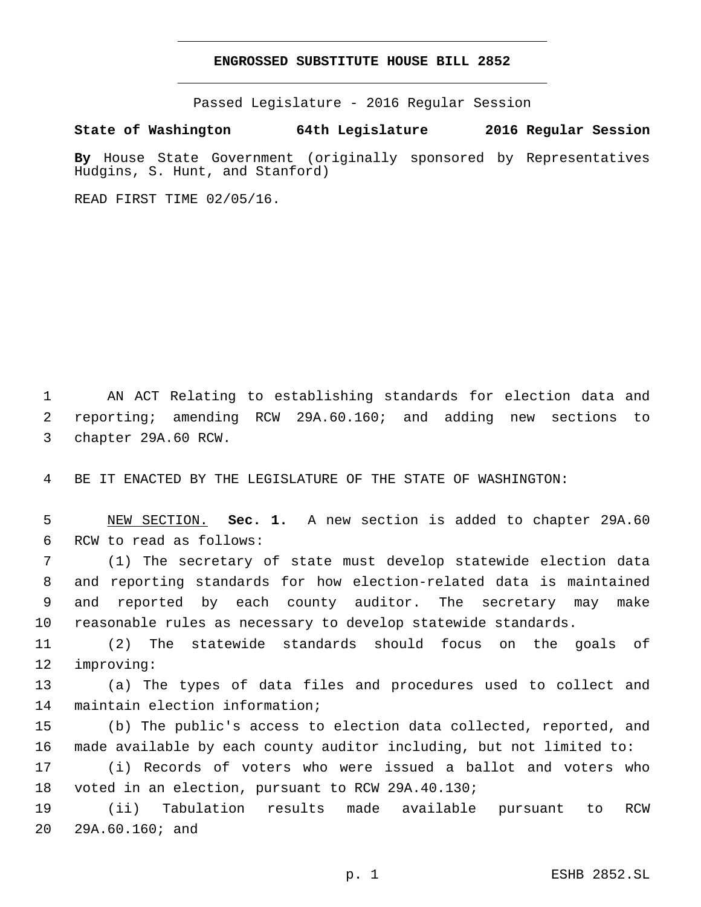## **ENGROSSED SUBSTITUTE HOUSE BILL 2852**

Passed Legislature - 2016 Regular Session

**State of Washington 64th Legislature 2016 Regular Session**

**By** House State Government (originally sponsored by Representatives Hudgins, S. Hunt, and Stanford)

READ FIRST TIME 02/05/16.

1 AN ACT Relating to establishing standards for election data and 2 reporting; amending RCW 29A.60.160; and adding new sections to 3 chapter 29A.60 RCW.

4 BE IT ENACTED BY THE LEGISLATURE OF THE STATE OF WASHINGTON:

5 NEW SECTION. **Sec. 1.** A new section is added to chapter 29A.60 6 RCW to read as follows:

 (1) The secretary of state must develop statewide election data and reporting standards for how election-related data is maintained and reported by each county auditor. The secretary may make reasonable rules as necessary to develop statewide standards.

11 (2) The statewide standards should focus on the goals of 12 improving:

13 (a) The types of data files and procedures used to collect and 14 maintain election information;

15 (b) The public's access to election data collected, reported, and 16 made available by each county auditor including, but not limited to:

17 (i) Records of voters who were issued a ballot and voters who 18 voted in an election, pursuant to RCW 29A.40.130;

19 (ii) Tabulation results made available pursuant to RCW 20 29A.60.160; and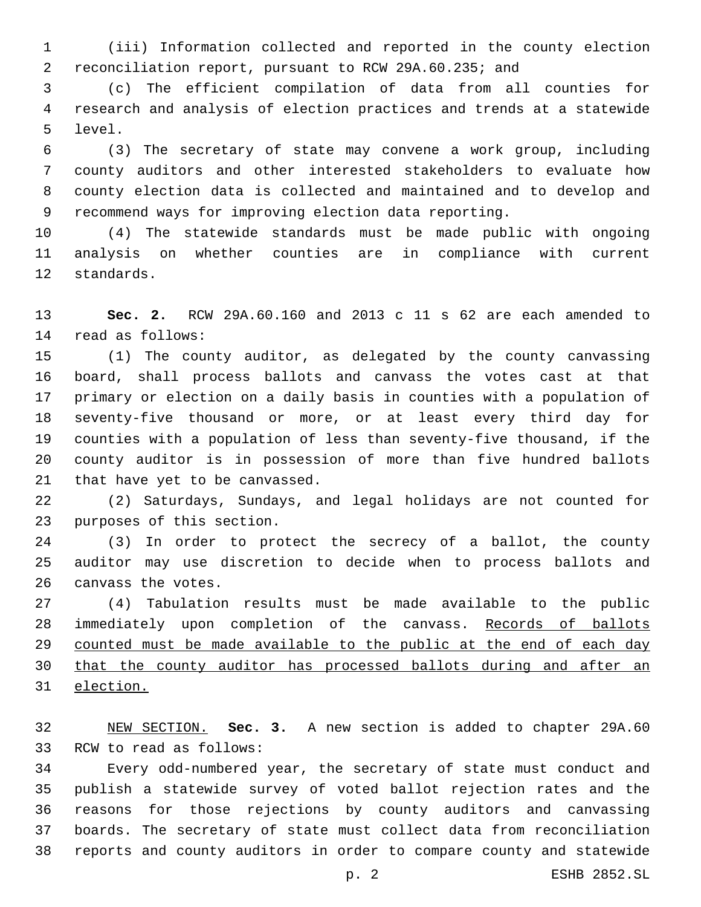(iii) Information collected and reported in the county election reconciliation report, pursuant to RCW 29A.60.235; and

 (c) The efficient compilation of data from all counties for research and analysis of election practices and trends at a statewide 5 level.

 (3) The secretary of state may convene a work group, including county auditors and other interested stakeholders to evaluate how county election data is collected and maintained and to develop and recommend ways for improving election data reporting.

 (4) The statewide standards must be made public with ongoing analysis on whether counties are in compliance with current 12 standards.

 **Sec. 2.** RCW 29A.60.160 and 2013 c 11 s 62 are each amended to read as follows:14

 (1) The county auditor, as delegated by the county canvassing board, shall process ballots and canvass the votes cast at that primary or election on a daily basis in counties with a population of seventy-five thousand or more, or at least every third day for counties with a population of less than seventy-five thousand, if the county auditor is in possession of more than five hundred ballots 21 that have yet to be canvassed.

 (2) Saturdays, Sundays, and legal holidays are not counted for 23 purposes of this section.

 (3) In order to protect the secrecy of a ballot, the county auditor may use discretion to decide when to process ballots and 26 canvass the votes.

 (4) Tabulation results must be made available to the public immediately upon completion of the canvass. Records of ballots counted must be made available to the public at the end of each day that the county auditor has processed ballots during and after an election.

 NEW SECTION. **Sec. 3.** A new section is added to chapter 29A.60 33 RCW to read as follows:

 Every odd-numbered year, the secretary of state must conduct and publish a statewide survey of voted ballot rejection rates and the reasons for those rejections by county auditors and canvassing boards. The secretary of state must collect data from reconciliation reports and county auditors in order to compare county and statewide

p. 2 ESHB 2852.SL